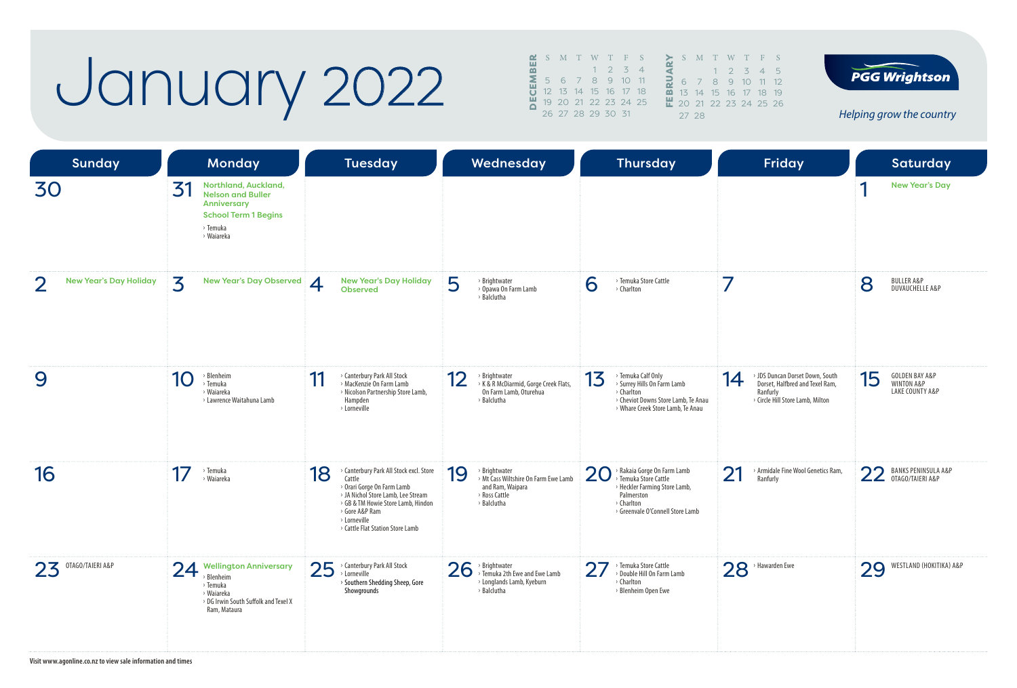### January 2022

|   |                   |  |                   | $\mathbf{C}$ S M T W T F S |                          |   | S.                   |                |
|---|-------------------|--|-------------------|----------------------------|--------------------------|---|----------------------|----------------|
| 쁢 |                   |  | $1\quad 2\quad 3$ |                            | $\overline{\mathcal{A}}$ |   |                      |                |
| Σ |                   |  |                   | 5 6 7 8 9 10 11            |                          | 긶 | 6                    | J              |
|   |                   |  |                   | 12  13  14  15  16  17  18 |                          |   | $\overline{m}$ 13    | $\overline{1}$ |
|   |                   |  |                   | 19 20 21 22 23 24 25       |                          |   | $\frac{11}{12}$ 20 2 |                |
|   | 26 27 28 29 30 31 |  |                   |                            |                          |   | 272                  |                |
|   |                   |  |                   |                            |                          |   |                      |                |

FEBRUARY<sup>S</sup> <sup>M</sup> <sup>T</sup> <sup>W</sup> <sup>T</sup> <sup>F</sup> <sup>S</sup> 1 2 3 4 5 6 7 8 9 10 11 12 15 16 17 18 19 20 21 22 23 24 25 26 27 28

**PGG Wrightson** 

*Helping grow the country*

| <b>Sunday</b>                 |                                                            | <b>Monday</b>                                                                                  |                    | <b>Tuesday</b>                                                                                                                                                                                                                    |    | Wednesday                                                                                                 |                | <b>Thursday</b>                                                                                                                                     |    | <b>Friday</b>                                                                                                      |    | Saturday                                                   |
|-------------------------------|------------------------------------------------------------|------------------------------------------------------------------------------------------------|--------------------|-----------------------------------------------------------------------------------------------------------------------------------------------------------------------------------------------------------------------------------|----|-----------------------------------------------------------------------------------------------------------|----------------|-----------------------------------------------------------------------------------------------------------------------------------------------------|----|--------------------------------------------------------------------------------------------------------------------|----|------------------------------------------------------------|
| 30                            | 3<br>> Temuka<br>> Waiareka                                | Northland, Auckland,<br><b>Nelson and Buller</b><br>Anniversary<br><b>School Term 1 Begins</b> |                    |                                                                                                                                                                                                                                   |    |                                                                                                           |                |                                                                                                                                                     |    |                                                                                                                    |    | <b>New Year's Day</b>                                      |
| <b>New Year's Day Holiday</b> | 3                                                          | <b>New Year's Day Observed</b>                                                                 | $\overline{\bf 4}$ | <b>New Year's Day Holiday</b><br><b>Observed</b>                                                                                                                                                                                  | 5  | > Brightwater<br>> Opawa On Farm Lamb<br>> Balclutha                                                      | 6              | > Temuka Store Cattle<br>> Charlton                                                                                                                 | 7  |                                                                                                                    | 8  | <b>BULLER A&amp;P</b><br><b>DUVAUCHELLE A&amp;P</b>        |
| 9                             | > Blenheim<br>10<br>> Temuka<br>› Waiareka                 | > Lawrence Waitahuna Lamb                                                                      | 11                 | > Canterbury Park All Stock<br>> MacKenzie On Farm Lamb<br>> Nicolson Partnership Store Lamb,<br>Hampden<br>> Lorneville                                                                                                          | 12 | <b>Brightwater</b><br>> K & R McDiarmid, Gorge Creek Flats,<br>On Farm Lamb, Oturehua<br>> Balclutha      | 13             | > Temuka Calf Only<br>> Surrey Hills On Farm Lamb<br>> Charlton<br>> Cheviot Downs Store Lamb, Te Anau<br>> Whare Creek Store Lamb, Te Anau         | 14 | > JDS Duncan Dorset Down, South<br>Dorset, Halfbred and Texel Ram,<br>Ranfurly<br>> Circle Hill Store Lamb, Milton | 15 | <b>GOLDEN BAY A&amp;P</b><br>WINTON A&P<br>LAKE COUNTY A&P |
| 16                            | 17<br>> Temuka<br>> Waiareka                               |                                                                                                | 18                 | > Canterbury Park All Stock excl. Store<br>Cattle<br>> Orari Gorge On Farm Lamb<br>> JA Nichol Store Lamb, Lee Stream<br>> GB & TM Howie Store Lamb, Hindon<br>> Gore A&P Ram<br>> Lorneville<br>> Cattle Flat Station Store Lamb | 19 | > Brightwater<br>> Mt Cass Wiltshire On Farm Ewe Lamb<br>and Ram, Waipara<br>> Ross Cattle<br>> Balclutha | 20             | > Rakaia Gorge On Farm Lamb<br>Temuka Store Cattle<br>> Heckler Farming Store Lamb,<br>Palmerston<br>> Charlton<br>> Greenvale O'Connell Store Lamb | 21 | > Armidale Fine Wool Genetics Ram,<br>Ranfurly                                                                     |    | 22 BANKS PENINSULA<br><b>BANKS PENINSULA A&amp;P</b>       |
| OTAGO/TAIERI A&P<br>23        | 24<br>> Blenheim<br>> Temuka<br>> Waiareka<br>Ram, Mataura | <b>Wellington Anniversary</b><br>> DG Irwin South Suffolk and Texel X                          | 25                 | > Canterbury Park All Stock<br>> Lorneville<br>> Southern Shedding Sheep, Gore<br>Showgrounds                                                                                                                                     | 26 | > Brightwater<br>> Temuka 2th Ewe and Ewe Lamb<br>> Longlands Lamb, Kyeburn<br>> Balclutha                | 2 <sub>1</sub> | Temuka Store Cattle<br>> Double Hill On Farm Lamb<br>> Charlton<br>> Blenheim Open Ewe                                                              |    | $28$ <sup>&gt;</sup> Hawarden Ewe                                                                                  | 29 | WESTLAND (HOKITIKA) A&P                                    |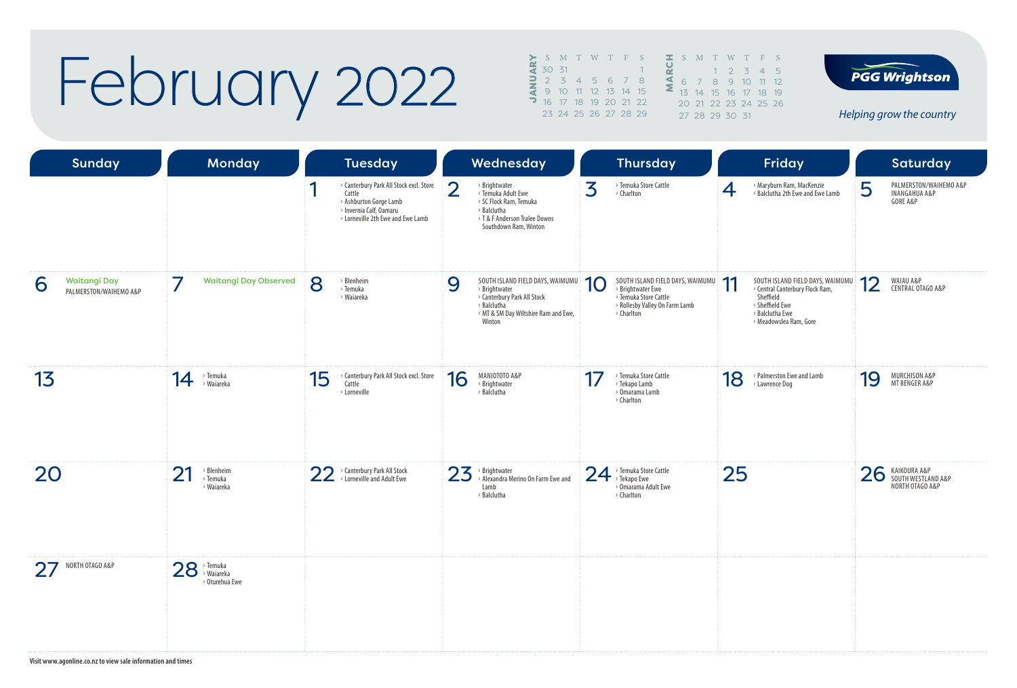## February 2022

| $>$ S M T W T F S                                      |                      |  |  |  | $\mathbf{I}$ S M |               | $\mathbb{R}^n$ |
|--------------------------------------------------------|----------------------|--|--|--|------------------|---------------|----------------|
| $\frac{a}{4}$ 30 31                                    |                      |  |  |  |                  |               |                |
| <b>2</b> 2 3 4 5 6 7 8<br><b>4</b> 9 10 11 12 13 14 15 |                      |  |  |  |                  | $6 \t 7 \t 8$ |                |
|                                                        |                      |  |  |  |                  | 13 14 1       |                |
| <b>3</b> 16 17 18 19 20 21 22                          |                      |  |  |  |                  | 20 21 2       |                |
|                                                        | 23 24 25 26 27 28 29 |  |  |  |                  | 27 28 2       |                |
|                                                        |                      |  |  |  |                  |               |                |



**PGG Wrightson** 

*Helping grow the country*

| Sunday                                      | Monday                                     | <b>Tuesday</b>                                                                                                                                   | Wednesday                                                                                                                                                | <b>Thursday</b>                                                                                                                      | Friday                                                                                                                                                       | <b>Saturday</b>                                                     |
|---------------------------------------------|--------------------------------------------|--------------------------------------------------------------------------------------------------------------------------------------------------|----------------------------------------------------------------------------------------------------------------------------------------------------------|--------------------------------------------------------------------------------------------------------------------------------------|--------------------------------------------------------------------------------------------------------------------------------------------------------------|---------------------------------------------------------------------|
|                                             |                                            | ◀<br>> Canterbury Park All Stock excl. Store<br>Cattle<br>> Ashburton Gorge Lamb<br>> Invernia Calf, Oamaru<br>> Lorneville 2th Ewe and Ewe Lamb | $\overline{2}$<br>> Brightwater<br>> Temuka Adult Ewe<br>> SC Flock Ram, Temuka<br>> Balclutha<br>> T & F Anderson Tralee Downs<br>Southdown Ram, Winton | 3<br>> Temuka Store Cattle<br>> Charlton                                                                                             | > Maryburn Ram, MacKenzie<br>4<br>> Balclutha 2th Ewe and Ewe Lamb                                                                                           | PALMERSTON/WAIHEMO A&P<br>5<br><b>INANGAHUA A&amp;P</b><br>GORE A&P |
| Waitangi Day<br>6<br>PALMERSTON/WAIHEMO A&P | 7<br><b>Waitangi Day Observed</b>          | 8<br>> Blenheim<br>> Temuka<br>› Waiareka                                                                                                        | 9<br>SOUTH ISLAND FIELD DAYS, WAIMUMU<br>> Brightwater<br>> Canterbury Park All Stock<br>> Balclutha<br>> MT & SM Day Wiltshire Ram and Ewe,<br>Winton   | SOUTH ISLAND FIELD DAYS, WAIMUMU<br>10<br>> Brightwater Ewe<br>> Temuka Store Cattle<br>> Rollesby Valley On Farm Lamb<br>> Charlton | -11<br>SOUTH ISLAND FIELD DAYS, WAIMUMU<br>ш<br>> Central Canterbury Flock Ram,<br>Sheffield<br>> Sheffield Ewe<br>> Balclutha Ewe<br>> Meadowslea Ram, Gore | 12<br>WAIAU A&P<br>CENTRAL OTAGO A&P                                |
| 13                                          | > Temuka<br>14<br>> Waiareka               | > Canterbury Park All Stock excl. Store<br>15<br>Cattle<br>> Lorneville                                                                          | 16<br>MANIOTOTO A&P<br>> Brightwater<br>> Balclutha                                                                                                      | 17<br>> Temuka Store Cattle<br>> Tekapo Lamb<br>> Omarama Lamb<br>> Charlton                                                         | > Palmerston Ewe and Lamb<br>18<br>> Lawrence Dog                                                                                                            | 19<br>MURCHISON A&P<br>MT BENGER A&P                                |
| 20                                          | 21<br>> Blenheim<br>> Temuka<br>> Waiareka | 22 > Canterbury Park All Stock<br>> Lorneville and Adult Ewe                                                                                     | 23<br>$\rightarrow$ Brightwater<br>> Alexandra Merino On Farm Ewe and<br>Lamb<br>> Balclutha                                                             | > Temuka Store Cattle<br>24<br>> Tekapo Ewe<br>> Omarama Adult Ewe<br>> Charlton                                                     | 25                                                                                                                                                           | 26<br>KAIKOURA A&P<br>SOUTH WESTLAND A&P<br>NORTH OTAGO A&P         |
| NORTH OTAGO A&P                             | $28$ <sup>, Temuka</sup><br>> Oturehua Ewe |                                                                                                                                                  |                                                                                                                                                          |                                                                                                                                      |                                                                                                                                                              |                                                                     |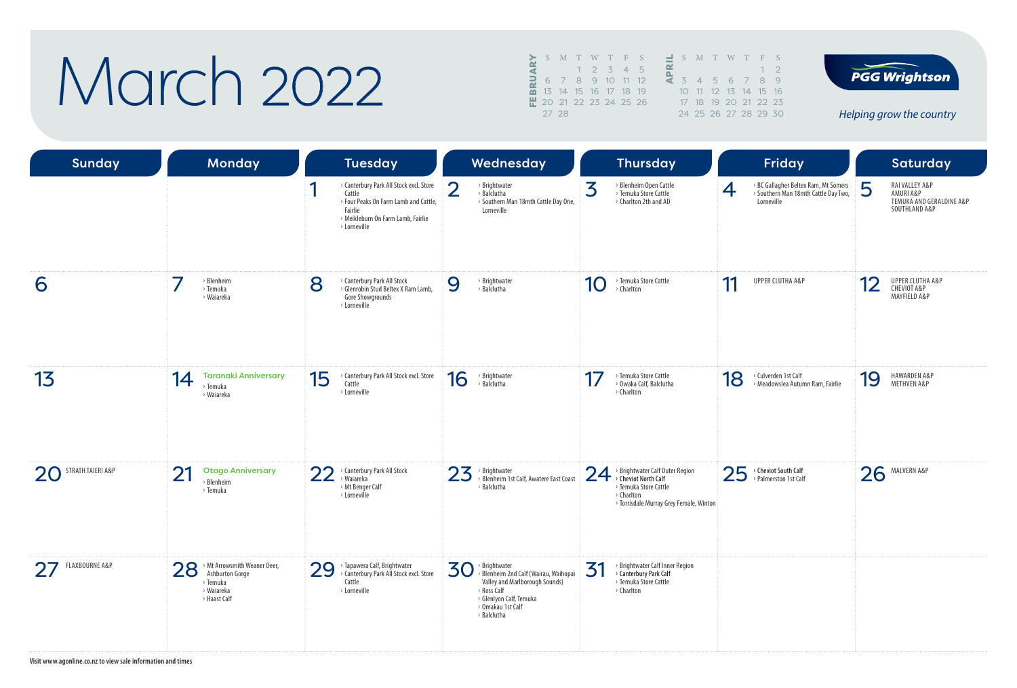### March 2022

|            |                        |  | S M T W T F S        |   |    | S              |   |
|------------|------------------------|--|----------------------|---|----|----------------|---|
|            |                        |  | $1 \t2 \t3 \t4$      | 5 |    |                |   |
| <b>BRU</b> |                        |  | 6 7 8 9 10 11 12     |   | đ. | $\overline{3}$ |   |
|            |                        |  | 13 14 15 16 17 18 19 |   |    | 10             |   |
|            | ₩ 20 21 22 23 24 25 26 |  |                      |   |    | 17             | 1 |
|            | 27 28                  |  |                      |   |    | 24             | 5 |

|  |  | S M T W T F S        |             |
|--|--|----------------------|-------------|
|  |  |                      | $1 \quad 2$ |
|  |  | 3 4 5 6 7 8          |             |
|  |  | 10 11 12 13 14 15 16 |             |
|  |  | 17 18 19 20 21 22 23 |             |
|  |  | 24 25 26 27 28 29 30 |             |



*Helping grow the country*

| <b>Sunday</b>        | <b>Monday</b>                                                             |    | <b>Tuesday</b>                                                                                                                                              |                | Wednesday                                                                                                                                                              |    | <b>Thursday</b>                                                                                                                           |    | <b>Friday</b>                                                                              |    | Saturday                                                                 |
|----------------------|---------------------------------------------------------------------------|----|-------------------------------------------------------------------------------------------------------------------------------------------------------------|----------------|------------------------------------------------------------------------------------------------------------------------------------------------------------------------|----|-------------------------------------------------------------------------------------------------------------------------------------------|----|--------------------------------------------------------------------------------------------|----|--------------------------------------------------------------------------|
|                      |                                                                           |    | > Canterbury Park All Stock excl. Store<br>Cattle<br>> Four Peaks On Farm Lamb and Cattle,<br>Fairlie<br>> Meikleburn On Farm Lamb, Fairlie<br>> Lorneville | $\overline{2}$ | > Brightwater<br>> Balclutha<br>> Southern Man 18mth Cattle Day One,<br>Lorneville                                                                                     | 3  | > Blenheim Open Cattle<br>> Temuka Store Cattle<br>> Charlton 2th and AD                                                                  | 4  | > BC Gallagher Beltex Ram, Mt Somers<br>> Southern Man 18mth Cattle Day Two,<br>Lorneville | 5  | RAI VALLEY A&P<br>AMURI A&P<br>TEMUKA AND GERALDINE A&P<br>SOUTHLAND A&P |
| 6                    | > Blenheim<br>> Temuka<br>› Waiareka                                      | 8  | > Canterbury Park All Stock<br>> Glenrobin Stud Beltex X Ram Lamb.<br>Gore Showgrounds<br>> Lorneville                                                      | 9              | > Brightwater<br>> Balclutha                                                                                                                                           | 10 | > Temuka Store Cattle<br>> Charlton                                                                                                       | 11 | <b>UPPER CLUTHA A&amp;P</b>                                                                | 12 | UPPER CLUTHA A&P<br>CHEVIOT A&P<br>MAYFIELD A&P                          |
| 13                   | <b>Taranaki Anniversary</b><br>14<br>> Temuka<br>› Waiareka               | 15 | > Canterbury Park All Stock excl. Store<br>Cattle<br>> Lorneville                                                                                           | 16             | > Brightwater<br>> Balclutha                                                                                                                                           | 17 | > Temuka Store Cattle<br>> Owaka Calf, Balclutha<br>> Charlton                                                                            | 18 | > Culverden 1st Calf<br>> Meadowslea Autumn Ram, Fairlie                                   | 19 | HAWARDEN A&P<br>METHVEN A&P                                              |
| 20 STRATH TAIERI A&P | 21<br><b>Otago Anniversary</b><br>> Blenheim<br>> Temuka                  | 22 | > Canterbury Park All Stock<br>> Waiareka<br>> Mt Benger Calf<br>> Lorneville                                                                               | 23             | > Brightwater<br>> Blenheim 1st Calf, Awatere East Coast<br>> Balclutha                                                                                                | 24 | > Brightwater Calf Outer Region<br>> Cheviot North Calf<br>> Temuka Store Cattle<br>> Charlton<br>> Torrisdale Murray Grey Female, Winton |    | 25 > Cheviot South Calf                                                                    | 26 | MALVERN A&P                                                              |
| FLAXBOURNE A&P<br>27 | 28 > Mt Arrowsmith Weaner Deer,<br>> Temuka<br>› Waiareka<br>> Haast Calf | 29 | > Tapawera Calf, Brightwater<br>> Canterbury Park All Stock excl. Store<br>Cattle<br>> Lorneville                                                           | 30             | > Brightwater<br>> Blenheim 2nd Calf (Wairau, Waihopai<br>Valley and Marlborough Sounds)<br>> Ross Calf<br>> Glenlyon Calf, Temuka<br>> Omakau 1st Calf<br>> Balclutha | 31 | > Brightwater Calf Inner Region<br>> Canterbury Park Calf<br>> Temuka Store Cattle<br>> Charlton                                          |    |                                                                                            |    |                                                                          |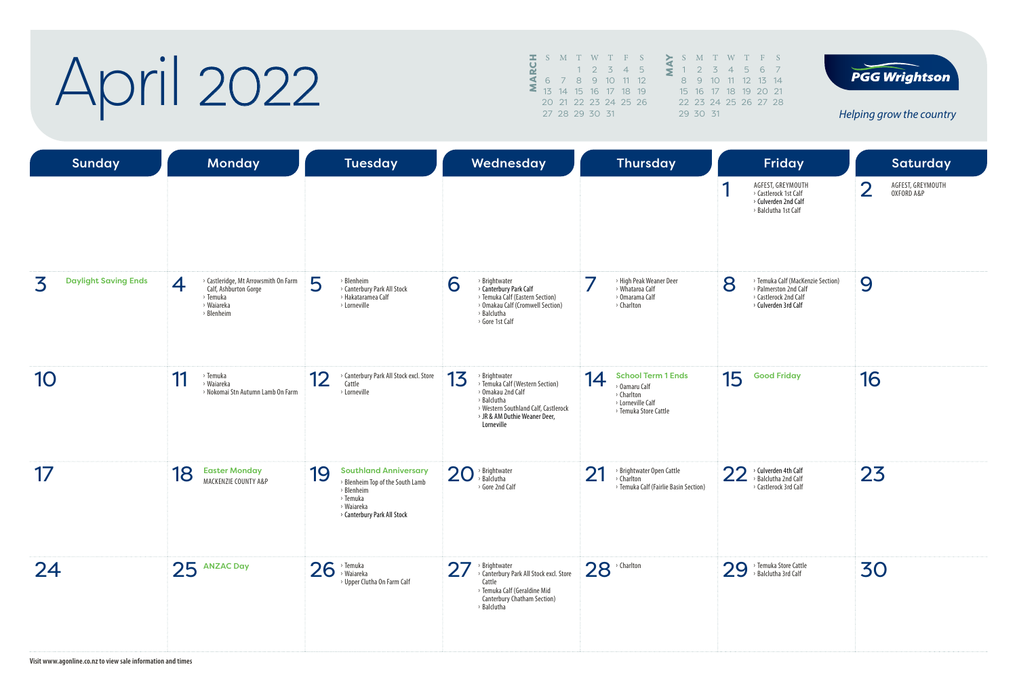# April 2022

|   |                |  | S M T W T F S        |   |    |
|---|----------------|--|----------------------|---|----|
| ပ |                |  | $1 \t2 \t3 \t4$      | 5 |    |
|   |                |  | 6 7 8 9 10 11 12     |   |    |
|   |                |  | 13 14 15 16 17 18 19 |   | 15 |
|   |                |  | 20 21 22 23 24 25 26 |   | フフ |
|   | 27 28 29 30 31 |  |                      |   |    |
|   |                |  |                      |   |    |





*Helping grow the country*

| <b>Sunday</b>                    | <b>Monday</b>                                                                                              | <b>Tuesday</b>                                                                                                                                | Wednesday                                                                                                                                                                         | <b>Thursday</b>                                                                                                            | Friday                                                                                                           | <b>Saturday</b>                                   |
|----------------------------------|------------------------------------------------------------------------------------------------------------|-----------------------------------------------------------------------------------------------------------------------------------------------|-----------------------------------------------------------------------------------------------------------------------------------------------------------------------------------|----------------------------------------------------------------------------------------------------------------------------|------------------------------------------------------------------------------------------------------------------|---------------------------------------------------|
|                                  |                                                                                                            |                                                                                                                                               |                                                                                                                                                                                   |                                                                                                                            | AGFEST, GREYMOUTH<br>◀<br>> Castlerock 1st Calf<br>> Culverden 2nd Calf<br>> Balclutha 1st Calf                  | $\overline{2}$<br>AGFEST, GREYMOUTH<br>OXFORD A&P |
| <b>Daylight Saving Ends</b><br>3 | > Castleridge, Mt Arrowsmith On Farm<br>4<br>Calf, Ashburton Gorge<br>> Temuka<br>> Waiareka<br>> Blenheim | 5<br>> Blenheim<br>> Canterbury Park All Stock<br>> Hakataramea Calf<br>> Lorneville                                                          | > Brightwater<br>6<br>> Canterbury Park Calf<br>> Temuka Calf (Eastern Section)<br>> Omakau Calf (Cromwell Section)<br>> Balclutha<br>> Gore 1st Calf                             | > High Peak Weaner Deer<br>> Whataroa Calf<br>> Omarama Calf<br>> Charlton                                                 | > Temuka Calf (MacKenzie Section)<br>8<br>> Palmerston 2nd Calf<br>> Castlerock 2nd Calf<br>> Culverden 3rd Calf | 9                                                 |
| 10                               | 11<br>> Temuka<br>> Waiareka<br>> Nokomai Stn Autumn Lamb On Farm                                          | > Canterbury Park All Stock excl. Store<br>12<br>Cattle<br>> Lorneville                                                                       | 13<br>> Brightwater<br>> Temuka Calf (Western Section)<br>> Omakau 2nd Calf<br>> Balclutha<br>> Western Southland Calf, Castlerock<br>> JR & AM Duthie Weaner Deer,<br>Lorneville | <b>School Term 1 Ends</b><br>14<br><sup>&gt;</sup> Oamaru Calf<br>> Charlton<br>> Lorneville Calf<br>> Temuka Store Cattle | 15<br><b>Good Friday</b>                                                                                         | 16                                                |
| 17                               | 18<br><b>Easter Monday</b><br>MACKENZIE COUNTY A&P                                                         | 19<br><b>Southland Anniversary</b><br>> Blenheim Top of the South Lamb<br>> Blenheim<br>> Temuka<br>› Waiareka<br>> Canterbury Park All Stock | 20<br>> Brightwater<br>> Balclutha<br>> Gore 2nd Calf                                                                                                                             | 21<br>> Brightwater Open Cattle<br>> Charlton<br>> Temuka Calf (Fairlie Basin Section)                                     | 22<br>$\rightarrow$ Culverden 4th Calf<br>> Balclutha 2nd Calf<br>> Castlerock 3rd Calf                          | 23                                                |
| 24                               | 25 ANZAC Day                                                                                               | 26<br>> Temuka<br>> Waiareka<br>> Upper Clutha On Farm Calf                                                                                   | 27<br>> Brightwater<br>> Canterbury Park All Stock excl. Store<br>Cattle<br>> Temuka Calf (Geraldine Mid<br>Canterbury Chatham Section)<br>> Balclutha                            | $28$ <sup>, Charlton</sup>                                                                                                 | 29 > Temuka Store Cattle                                                                                         | 30                                                |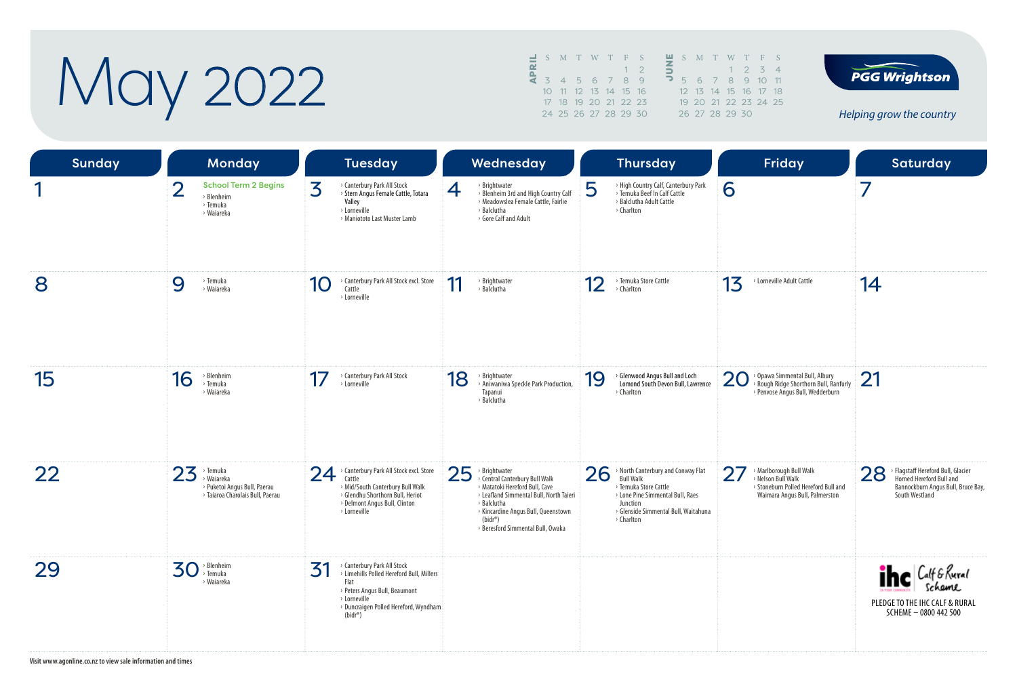# May 2022

| ᆜ |                 |  | S M T W T F S        |  |    |   | S M   |        |
|---|-----------------|--|----------------------|--|----|---|-------|--------|
| ൙ |                 |  |                      |  | 12 | ÷ |       |        |
|   |                 |  | 3 4 5 6 7 8 9        |  |    | ∍ | 5     | 6      |
|   | 10 <sup>1</sup> |  | 11 12 13 14 15 16    |  |    |   | 12 13 |        |
|   |                 |  | 17 18 19 20 21 22 23 |  |    |   |       | 19, 20 |
|   |                 |  | 24 25 26 27 28 29 30 |  |    |   | 26 27 |        |





*Helping grow the country*

| <b>Sunday</b> | Monday                                                                                          | <b>Tuesday</b>                                                                                                                                                                                 | Wednesday                                                                                                                                                                                                                                   | <b>Thursday</b>                                                                                                                                                                             | Friday                                                                                                                             | Saturday                                                                                                                  |
|---------------|-------------------------------------------------------------------------------------------------|------------------------------------------------------------------------------------------------------------------------------------------------------------------------------------------------|---------------------------------------------------------------------------------------------------------------------------------------------------------------------------------------------------------------------------------------------|---------------------------------------------------------------------------------------------------------------------------------------------------------------------------------------------|------------------------------------------------------------------------------------------------------------------------------------|---------------------------------------------------------------------------------------------------------------------------|
| ◀             | $\overline{2}$<br><b>School Term 2 Begins</b><br>> Blenheim<br>> Temuka<br>> Waiareka           | 3<br>> Canterbury Park All Stock<br>> Stern Angus Female Cattle, Totara<br>Valley<br>> Lorneville<br>> Maniototo Last Muster Lamb                                                              | > Brightwater<br>4<br>> Blenheim 3rd and High Country Calf<br>> Meadowslea Female Cattle, Fairlie<br>> Balclutha<br>> Gore Calf and Adult                                                                                                   | 5<br>> High Country Calf, Canterbury Park<br>> Temuka Beef In Calf Cattle<br>> Balclutha Adult Cattle<br>> Charlton                                                                         | 6                                                                                                                                  | 7                                                                                                                         |
| 8             | 9<br>> Temuka<br>› Waiareka                                                                     | Canterbury Park All Stock excl. Store<br>10<br>Cattle<br>> Lorneville                                                                                                                          | 11<br>> Brightwater<br>> Balclutha                                                                                                                                                                                                          | 12<br>> Temuka Store Cattle<br>> Charlton                                                                                                                                                   | 13<br>> Lorneville Adult Cattle                                                                                                    | 14                                                                                                                        |
| 15            | 16<br>> Blenheim<br>> Temuka<br>› Waiareka                                                      | <b>Canterbury Park All Stock</b><br>17<br>> Lorneville                                                                                                                                         | 18<br>> Brightwater<br>> Aniwaniwa Speckle Park Production,<br>Tapanui<br>> Balclutha                                                                                                                                                       | > Glenwood Angus Bull and Loch<br>19<br>Lomond South Devon Bull, Lawrence<br>> Charlton                                                                                                     | 20<br><sup>&gt;</sup> Opawa Simmental Bull, Albury<br>Rough Ridge Shorthorn Bull, Ranfurly<br>> Penvose Angus Bull, Wedderburn     | 21                                                                                                                        |
| 22            | $23$ <sup>&gt;</sup> Temuka<br>> Puketoi Angus Bull, Paerau<br>> Taiaroa Charolais Bull, Paerau | > Canterbury Park All Stock excl. Store<br>24<br>Cattle<br>> Mid/South Canterbury Bull Walk<br>> Glendhu Shorthorn Bull, Heriot<br>> Delmont Angus Bull, Clinton<br>> Lorneville               | 25<br>> Brightwater<br>> Central Canterbury Bull Walk<br>> Matatoki Hereford Bull, Cave<br>> Leafland Simmental Bull, North Taieri<br>> Balclutha<br>> Kincardine Angus Bull, Queenstown<br>$(bidr^*)$<br>> Beresford Simmental Bull, Owaka | 26<br>> North Canterbury and Conway Flat<br><b>Bull Walk</b><br>> Temuka Store Cattle<br>> Lone Pine Simmental Bull, Raes<br>Junction<br>> Glenside Simmental Bull, Waitahuna<br>> Charlton | 27<br><b>Marlborough Bull Walk</b><br>> Nelson Bull Walk<br>> Stoneburn Polled Hereford Bull and<br>Waimara Angus Bull, Palmerston | 28 > Flagstaff Hereford Bull, Glacier<br>Horned Hereford Bull and<br>Bannockburn Angus Bull, Bruce Bay,<br>South Westland |
| 29            | > Blenheim<br>30<br>> Temuka<br>> Waiareka                                                      | > Canterbury Park All Stock<br>31<br>> Limehills Polled Hereford Bull, Millers<br>Flat<br>> Peters Angus Bull, Beaumont<br>> Lorneville<br>> Duncraigen Polled Hereford, Wyndham<br>$(bidr^*)$ |                                                                                                                                                                                                                                             |                                                                                                                                                                                             |                                                                                                                                    | <b>The Calf &amp; Rural</b><br>PLEDGE TO THE IHC CALF & RURAL<br>SCHEME - 0800 442 500                                    |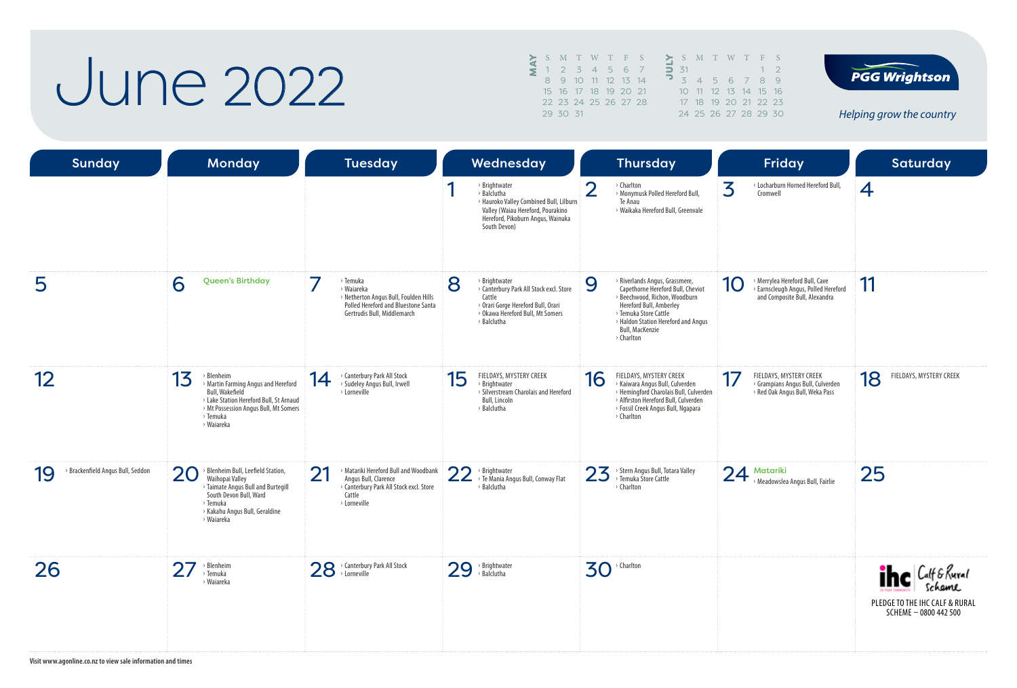#### June 2022

|   |    | S M T W T F S        |  |                  |        | S N             |                |
|---|----|----------------------|--|------------------|--------|-----------------|----------------|
| έ |    | 2 3 4 5 6 7          |  |                  | $\Box$ | $-31$           |                |
|   | 8. |                      |  | 9 10 11 12 13 14 |        | $\overline{5}$  | $\overline{a}$ |
|   |    | 15 16 17 18 19 20 21 |  |                  |        | 10 <sup>7</sup> | $\mathbf{1}$   |
|   |    | 22 23 24 25 26 27 28 |  |                  |        | 17 <sup>2</sup> | 1              |
|   |    | 29 30 31             |  |                  |        | 24.2            |                |
|   |    |                      |  |                  |        |                 |                |





*Helping grow the country*

| <b>Sunday</b>                           | <b>Monday</b>                                                                                                                                                                            | <b>Tuesday</b>                                                                                                                                | Wednesday                                                                                                                                                         | <b>Thursday</b>                                                                                                                                                                                                                              | <b>Friday</b>                                                                                                       | <b>Saturday</b>                                                                         |
|-----------------------------------------|------------------------------------------------------------------------------------------------------------------------------------------------------------------------------------------|-----------------------------------------------------------------------------------------------------------------------------------------------|-------------------------------------------------------------------------------------------------------------------------------------------------------------------|----------------------------------------------------------------------------------------------------------------------------------------------------------------------------------------------------------------------------------------------|---------------------------------------------------------------------------------------------------------------------|-----------------------------------------------------------------------------------------|
|                                         |                                                                                                                                                                                          |                                                                                                                                               | > Brightwater<br>> Balclutha<br>> Hauroko Valley Combined Bull, Lilburn<br>Valley (Waiau Hereford, Pourakino<br>Hereford, Pikoburn Angus, Wainuka<br>South Devon) | $\overline{2}$<br>> Charlton<br>> Monymusk Polled Hereford Bull,<br>Te Anau<br>> Waikaka Hereford Bull, Greenvale                                                                                                                            | 3<br>> Locharburn Horned Hereford Bull,<br>Cromwell                                                                 | 4                                                                                       |
| 5                                       | 6<br><b>Queen's Birthday</b>                                                                                                                                                             | > Temuka<br>> Waiareka<br>> Netherton Angus Bull, Foulden Hills<br>Polled Hereford and Bluestone Santa<br>Gertrudis Bull, Middlemarch         | 8<br>> Brightwater<br>> Canterbury Park All Stock excl. Store<br>Cattle<br>> Orari Gorge Hereford Bull, Orari<br>> Okawa Hereford Bull, Mt Somers<br>> Balclutha  | 9<br>> Riverlands Angus, Grassmere,<br>Capethorne Hereford Bull, Cheviot<br>> Beechwood, Richon, Woodburn<br>Hereford Bull, Amberley<br>> Temuka Store Cattle<br>> Haldon Station Hereford and Angus<br><b>Bull, MacKenzie</b><br>> Charlton | > Merrylea Hereford Bull, Cave<br>10<br>> Earnscleugh Angus, Polled Hereford<br>and Composite Bull, Alexandra       | 11                                                                                      |
| 12                                      | > Blenheim<br>13<br>> Martin Farming Angus and Hereford<br>Bull, Wakefield<br>> Lake Station Hereford Bull, St Arnaud<br>> Mt Possession Angus Bull, Mt Somers<br>> Temuka<br>> Waiareka | > Canterbury Park All Stock<br>14<br>> Sudeley Angus Bull, Irwell<br>> Lorneville                                                             | FIELDAYS, MYSTERY CREEK<br>15<br>> Brightwater<br>> Silverstream Charolais and Hereford<br>Bull, Lincoln<br>> Balclutha                                           | FIELDAYS, MYSTERY CREEK<br>16<br>> Kaiwara Angus Bull, Culverden<br>> Hemingford Charolais Bull, Culverden<br>> Alfirston Hereford Bull, Culverden<br>> Fossil Creek Angus Bull, Ngapara<br>> Charlton                                       | FIELDAYS, MYSTERY CREEK<br>17<br><sup>&gt;</sup> Grampians Angus Bull, Culverden<br>> Red Oak Angus Bull, Weka Pass | FIELDAYS, MYSTERY CREEK<br>18                                                           |
| > Brackenfield Angus Bull, Seddon<br>19 | > Blenheim Bull, Leefield Station,<br>20<br>Waihopai Valley<br>> Taimate Angus Bull and Burtegill<br>South Devon Bull, Ward<br>> Temuka<br>> Kakahu Angus Bull, Geraldine<br>> Waiareka  | 21<br><b>Matariki Hereford Bull and Woodbank</b><br>Angus Bull, Clarence<br>> Canterbury Park All Stock excl. Store<br>Cattle<br>> Lorneville | 22<br>> Brightwater<br>> Te Mania Angus Bull, Conway Flat<br>> Balclutha                                                                                          | > Stern Angus Bull, Totara Valley<br>23<br>> Temuka Store Cattle<br>> Charlton                                                                                                                                                               | 24<br>Matariki<br>> Meadowslea Angus Bull, Fairlie                                                                  | 25                                                                                      |
| 26                                      | > Blenheim<br>> Temuka<br>› Waiareka                                                                                                                                                     | 28 > Canterbury Park All Stock                                                                                                                | 29<br>> Brightwater<br>> Balclutha                                                                                                                                | $30$ <sup>, Charlton</sup>                                                                                                                                                                                                                   |                                                                                                                     | ihe Calf & Rural<br>Schame<br>PLEDGE TO THE IHC CALF & RURAL<br>$SCHEME - 0800 442 500$ |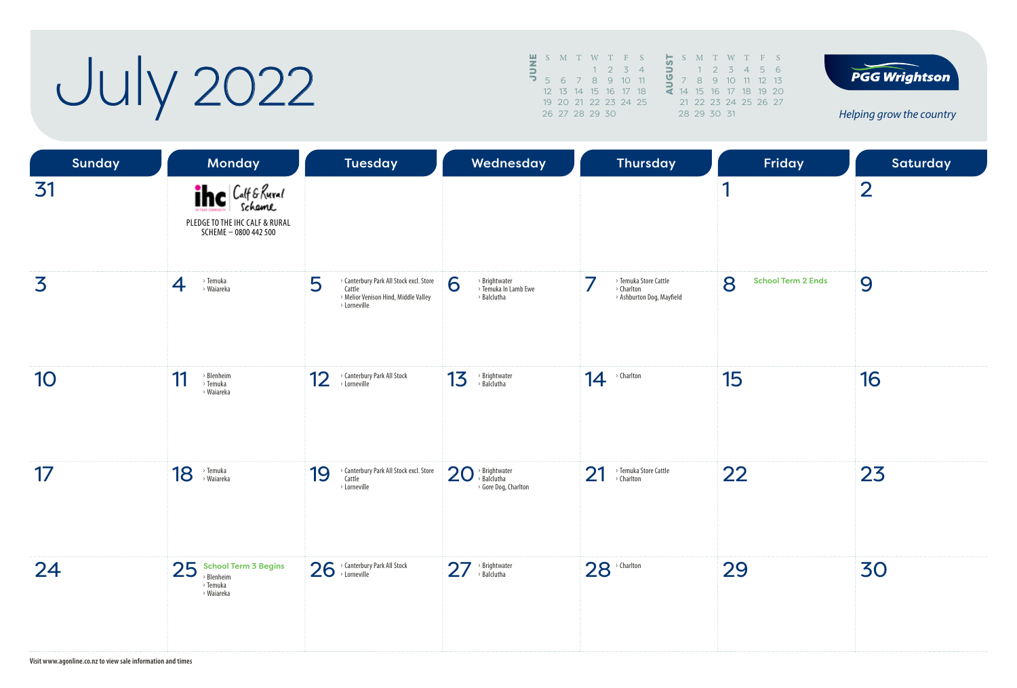July 2022

| 罗 | S M T W T F S        |  |             |          |   | S.    |       |
|---|----------------------|--|-------------|----------|---|-------|-------|
| ∍ |                      |  | $1 \t2 \t3$ | $\Delta$ | ∍ |       |       |
|   | 5 6 7 8 9 10 11      |  |             |          |   |       |       |
|   | 12 13 14 15 16 17 18 |  |             |          | ⋖ | 14 15 |       |
|   | 19 20 21 22 23 24 25 |  |             |          |   |       | 21 22 |
|   | 26 27 28 29 30       |  |             |          |   | 28 29 |       |
|   |                      |  |             |          |   |       |       |





*Helping grow the country*

| <b>Sunday</b> | <b>Monday</b>                                                                          | <b>Tuesday</b>                                                                                                 | Wednesday                                                  | <b>Thursday</b>                                                  | Friday                         | Saturday       |
|---------------|----------------------------------------------------------------------------------------|----------------------------------------------------------------------------------------------------------------|------------------------------------------------------------|------------------------------------------------------------------|--------------------------------|----------------|
| 31            | <b>The Calf &amp; Rural</b><br>PLEDGE TO THE IHC CALF & RURAL<br>SCHEME - 0800 442 500 |                                                                                                                |                                                            |                                                                  | 1                              | $\overline{2}$ |
| 3             | > Temuka<br>> Waiareka<br>4                                                            | 5<br>> Canterbury Park All Stock excl. Store<br>Cattle<br>> Melior Venison Hind, Middle Valley<br>> Lorneville | 6<br>> Brightwater<br>> Temuka In Lamb Ewe<br>> Balclutha  | > Temuka Store Cattle<br>> Charlton<br>> Ashburton Dog, Mayfield | 8<br><b>School Term 2 Ends</b> | 9              |
| 10            | $\rightarrow$ Blenheim<br>11<br>> Temuka<br>› Waiareka                                 | 12<br>> Canterbury Park All Stock<br>> Lorneville                                                              | 13<br>> Brightwater<br>> Balclutha                         | > Charlton<br>14                                                 | 15                             | 16             |
| 17            | 18<br>> Temuka<br>> Waiareka                                                           | > Canterbury Park All Stock excl. Store<br>19<br>Cattle<br>> Lorneville                                        | > Brightwater<br>> Balclutha<br>20<br>> Gore Dog, Charlton | 21<br>> Temuka Store Cattle<br>> Charlton                        | 22                             | 23             |
| 24            | $25$ School Term 3 Begins<br>» Blenheim<br>> Temuka<br>› Waiareka                      | 26 > Canterbury Park All Stock                                                                                 | 27<br>> Brightwater<br>> Balclutha                         | $28$ <sup>, Charlton</sup>                                       | 29                             | 30             |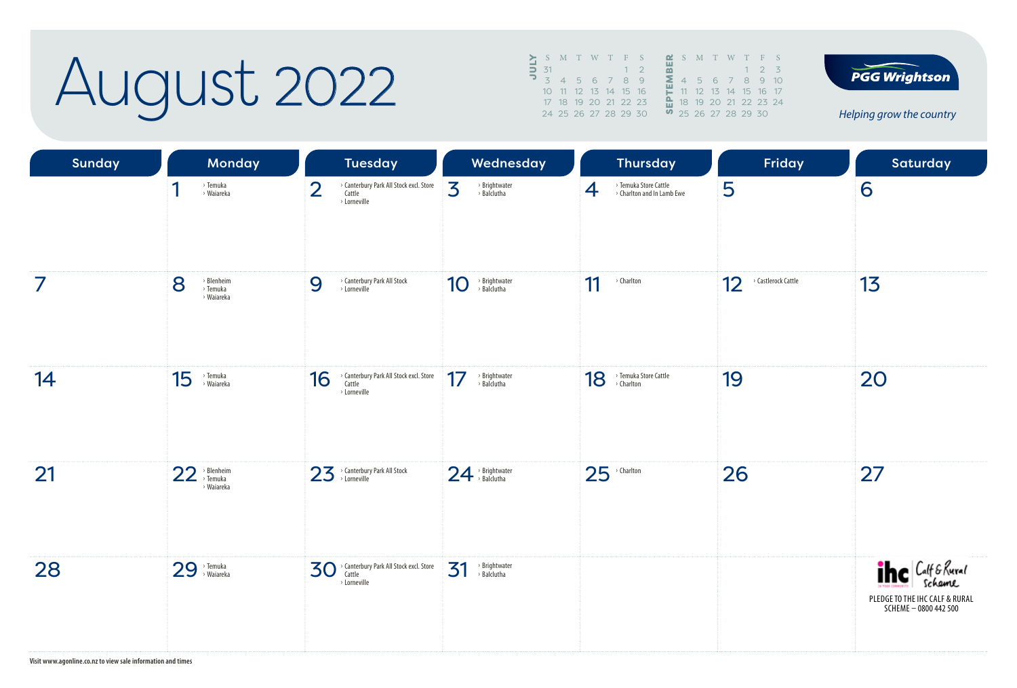### August 2022

|               |       |      | S M T W T F S        |      |  |  | <b>M</b> S M T W T F S        |  |             |  |
|---------------|-------|------|----------------------|------|--|--|-------------------------------|--|-------------|--|
|               | $-31$ |      |                      | $-1$ |  |  |                               |  | $1 \t2 \t3$ |  |
| $\frac{1}{2}$ |       | $-4$ | 5 6 7 8 9            |      |  |  | 4 5 6 7 8 9 10                |  |             |  |
|               |       |      | 10 11 12 13 14 15 16 |      |  |  | 11 12 13 14 15 16 17          |  |             |  |
|               |       |      | 17 18 19 20 21 22 23 |      |  |  | <b>A</b> 18 19 20 21 22 23 24 |  |             |  |
|               |       |      | 24 25 26 27 28 29 30 |      |  |  | 9, 25, 26, 27, 28, 29, 30     |  |             |  |



*Helping grow the country*

| <b>Sunday</b> | Monday                                     | <b>Tuesday</b>                                                                                  | Wednesday                          | <b>Thursday</b>                                          | Friday                    | <b>Saturday</b>                                                                        |
|---------------|--------------------------------------------|-------------------------------------------------------------------------------------------------|------------------------------------|----------------------------------------------------------|---------------------------|----------------------------------------------------------------------------------------|
|               | 1<br>> Temuka<br>> Waiareka                | > Canterbury Park All Stock excl. Store<br>$\overline{2}$<br>Cattle<br>$\rightarrow$ Lorneville | 3<br>> Brightwater<br>> Balclutha  | > Temuka Store Cattle<br>> Charlton and In Lamb Ewe<br>4 | 5                         | 6                                                                                      |
| 7             | 8<br>> Blenheim<br>> Temuka<br>› Waiareka  | 9<br>> Canterbury Park All Stock<br>> Lorneville                                                | > Brightwater<br>> Balclutha<br>10 | 11<br>> Charlton                                         | 12<br>> Castlerock Cattle | 13                                                                                     |
| 14            | 15<br>> Temuka<br>> Waiareka               | > Canterbury Park All Stock excl. Store<br>16<br>Cattle<br>> Lorneville                         | 17<br>> Brightwater<br>> Balclutha | 18 > Temuka Store Cattle                                 | 19                        | 20                                                                                     |
| 21            | $22$ <sup>&gt;Blenheim</sup><br>› Waiareka | 23 > Canterbury Park All Stock                                                                  | $24 \rightarrow$ Brightwater       | $25$ <sup>, Charlton</sup>                               | 26                        | 27                                                                                     |
| 28            | $29$ <sup>, Temuka</sup>                   | 30 Canterbury Park All Stock excl. Store<br>Cattle<br>> Lorneville                              | 31<br>> Brightwater<br>> Balclutha |                                                          |                           | <b>The Calf &amp; Rural</b><br>PLEDGE TO THE IHC CALF & RURAL<br>SCHEME - 0800 442 500 |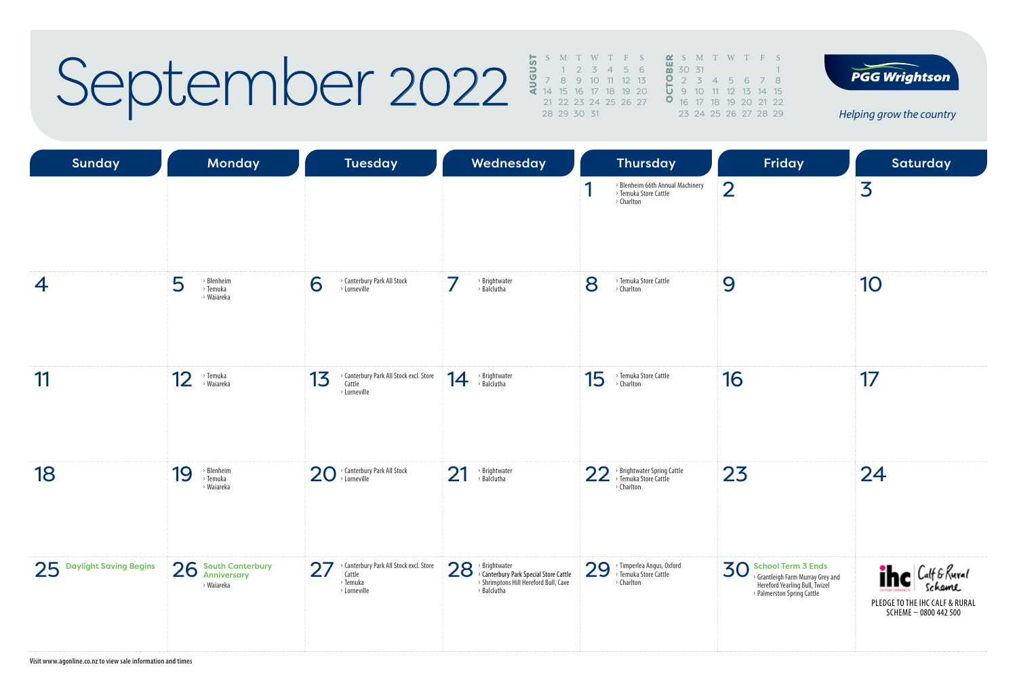### September 2022

|  |             | S M T W T F S           |  |                       |  |  | <b>M</b> S M T W T F S            |  |
|--|-------------|-------------------------|--|-----------------------|--|--|-----------------------------------|--|
|  |             | $1 \t2 \t3 \t4 \t5 \t6$ |  | $\frac{10}{20}$ 30 31 |  |  |                                   |  |
|  |             | 7 8 9 10 11 12 13       |  |                       |  |  | 0 2 3 4 5 6 7 8                   |  |
|  |             | 14 15 16 17 18 19 20    |  |                       |  |  | $\frac{1}{2}$ 9 10 11 12 13 14 15 |  |
|  |             | 21 22 23 24 25 26 27    |  |                       |  |  | <b>0</b> 16 17 18 19 20 21 22     |  |
|  | 28 29 30 31 |                         |  |                       |  |  | 23 24 25 26 27 28 29              |  |
|  |             |                         |  |                       |  |  |                                   |  |

12 13 14 15 19 20 21 22 23 24 25 26 27 28 29



*Helping grow the country*

| <b>Sunday</b>             | <b>Monday</b>                                              | <b>Tuesday</b>                                                                    | Wednesday                                                                                                          | <b>Thursday</b>                                                          | Friday                                                                                                                             | Saturday                                                                                              |
|---------------------------|------------------------------------------------------------|-----------------------------------------------------------------------------------|--------------------------------------------------------------------------------------------------------------------|--------------------------------------------------------------------------|------------------------------------------------------------------------------------------------------------------------------------|-------------------------------------------------------------------------------------------------------|
|                           |                                                            |                                                                                   |                                                                                                                    | > Blenheim 66th Annual Machinery<br>> Temuka Store Cattle<br>> Charlton  | $\overline{2}$                                                                                                                     | 3                                                                                                     |
| $\overline{4}$            | 5<br>> Blenheim<br>> Temuka<br>> Waiareka                  | 6<br>> Canterbury Park All Stock<br>> Lorneville                                  | 7<br>> Brightwater<br>> Balclutha                                                                                  | 8<br>> Temuka Store Cattle<br>> Charlton                                 | 9                                                                                                                                  | 10                                                                                                    |
| 11                        | 12<br>> Temuka<br>> Waiareka                               | > Canterbury Park All Stock excl. Store<br>13<br>Cattle<br>> Lorneville           | > Brightwater<br>> Balclutha<br>14                                                                                 | > Temuka Store Cattle<br>15<br>> Charlton                                | 16                                                                                                                                 | 17                                                                                                    |
| 18                        | > Blenheim<br>19<br>> Temuka<br>> Waiareka                 | 20 > Canterbury Park All Stock                                                    | 21<br>> Brightwater<br>> Balclutha                                                                                 | > Brightwater Spring Cattle<br>> Temuka Store Cattle<br>22<br>> Charlton | 23                                                                                                                                 | 24                                                                                                    |
| 25 Daylight Saving Begins | 26<br><b>South Canterbury</b><br>Anniversary<br>> Waiareka | 27<br>Canterbury Park All Stock excl. Store<br>Cattle<br>> Temuka<br>> Lorneville | 28 > Brightwater<br>> Canterbury Park Special Store Cattle<br>> Shrimptons Hill Hereford Bull, Cave<br>> Balclutha | 29 > Timperlea Angus, Oxford<br>> Charlton                               | <b>School Term 3 Ends</b><br>30<br>> Grantleigh Farm Murray Grey and<br>Hereford Yearling Bull, Twizel<br>Palmerston Spring Cattle | $i$ hc $ C_{\text{eff}}$ & Rural<br>Scheme<br>PLEDGE TO THE IHC CALF & RURAL<br>SCHEME - 0800 442 500 |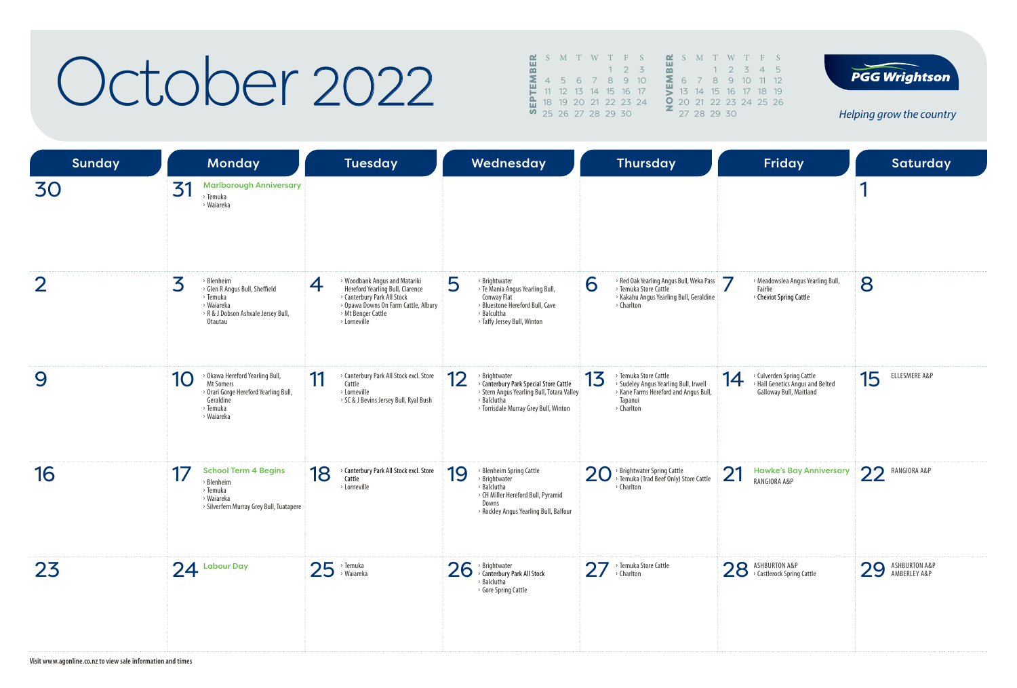### October 2022

|   |  | $\mathbf{C}$ SMTWTFS |  |                  |    |    | S M       |     |
|---|--|----------------------|--|------------------|----|----|-----------|-----|
| m |  |                      |  | $2 \overline{3}$ |    |    |           |     |
| Σ |  | 4 5 6 7 8 9          |  |                  | 10 | Σ. |           | 6 7 |
|   |  | 12 13 14 15 16 17    |  |                  |    |    | $13 -$    | 14  |
|   |  | 18 19 20 21 22 23 24 |  |                  |    |    | $Q$ 20 21 |     |
|   |  | 0 25 26 27 28 29 30  |  |                  |    |    | 27 28     |     |
|   |  |                      |  |                  |    |    |           |     |



**PGG Wrightson** 

*Helping grow the country*

| <b>Sunday</b>  |    | <b>Monday</b>                                                                                                                   |    | <b>Tuesday</b>                                                                                                                                                                               |    | Wednesday                                                                                                                                                     |    | <b>Thursday</b>                                                                                                                  |    | Friday                                                                                   |    | <b>Saturday</b>               |
|----------------|----|---------------------------------------------------------------------------------------------------------------------------------|----|----------------------------------------------------------------------------------------------------------------------------------------------------------------------------------------------|----|---------------------------------------------------------------------------------------------------------------------------------------------------------------|----|----------------------------------------------------------------------------------------------------------------------------------|----|------------------------------------------------------------------------------------------|----|-------------------------------|
| 30             | 31 | <b>Marlborough Anniversary</b><br>> Temuka<br>› Waiareka                                                                        |    |                                                                                                                                                                                              |    |                                                                                                                                                               |    |                                                                                                                                  |    |                                                                                          | и  |                               |
| $\overline{2}$ | 3  | > Blenheim<br>> Glen R Angus Bull, Sheffield<br>> Temuka<br>› Waiareka<br>> R & J Dobson Ashvale Jersey Bull,<br><b>Otautau</b> | 4  | > Woodbank Angus and Matariki<br>Hereford Yearling Bull, Clarence<br>> Canterbury Park All Stock<br><sup>&gt;</sup> Opawa Downs On Farm Cattle, Albury<br>> Mt Benger Cattle<br>> Lorneville | 5  | > Brightwater<br>> Te Mania Angus Yearling Bull,<br>Conway Flat<br>> Bluestone Hereford Bull, Cave<br>> Balcultha<br>> Taffy Jersey Bull, Winton              | 6  | > Red Oak Yearling Angus Bull, Weka Pass<br>> Temuka Store Cattle<br>> Kakahu Angus Yearling Bull, Geraldine<br>> Charlton       | 7  | > Meadowslea Angus Yearling Bull,<br>Fairlie<br>> Cheviot Spring Cattle                  | 8  |                               |
| 9              | 10 | > Okawa Hereford Yearling Bull,<br>Mt Somers<br>> Orari Gorge Hereford Yearling Bull,<br>Geraldine<br>> Temuka<br>> Waiareka    | 11 | > Canterbury Park All Stock excl. Store<br>Cattle<br>> Lorneville<br>> SC & J Bevins Jersey Bull, Ryal Bush                                                                                  | 12 | > Brightwater<br>> Canterbury Park Special Store Cattle<br>> Stern Angus Yearling Bull, Totara Valley<br>> Balclutha<br>> Torrisdale Murray Grey Bull, Winton | 13 | > Temuka Store Cattle<br>> Sudeley Angus Yearling Bull, Irwell<br>> Kane Farms Hereford and Angus Bull,<br>Tapanui<br>> Charlton | 14 | > Culverden Spring Cattle<br>> Hall Genetics Angus and Belted<br>Galloway Bull, Maitland | 15 | ELLESMERE A&P                 |
| 16             | 17 | <b>School Term 4 Begins</b><br>> Blenheim<br>> Temuka<br>> Waiareka<br>> Silverfern Murray Grey Bull, Tuatapere                 | 18 | > Canterbury Park All Stock excl. Store<br>Cattle<br>> Lorneville                                                                                                                            | 19 | > Blenheim Spring Cattle<br>> Brightwater<br>> Balclutha<br>> CH Miller Hereford Bull, Pyramid<br>Downs<br>> Rockley Angus Yearling Bull, Balfour             |    | 20 > Brightwater Spring Cattle<br>> Temuka (Trad Beef Only) Store Cattle<br>> Charlton                                           | 21 | <b>Hawke's Bay Anniversary</b><br>RANGIORA A&P                                           | 22 | RANGIORA A&P                  |
| 23             |    | $24$ Labour Day                                                                                                                 | 25 | > Temuka<br>> Waiareka                                                                                                                                                                       | 26 | > Brightwater<br>> Canterbury Park All Stock<br>> Balclutha<br>> Gore Spring Cattle                                                                           |    | $27$ <sup>, Temuka Store Cattle</sup>                                                                                            |    | 28 ASHBURTON A&P<br>> Castlerock Spring Cattle                                           | 29 | ASHBURTON A&P<br>AMBERLEY A&P |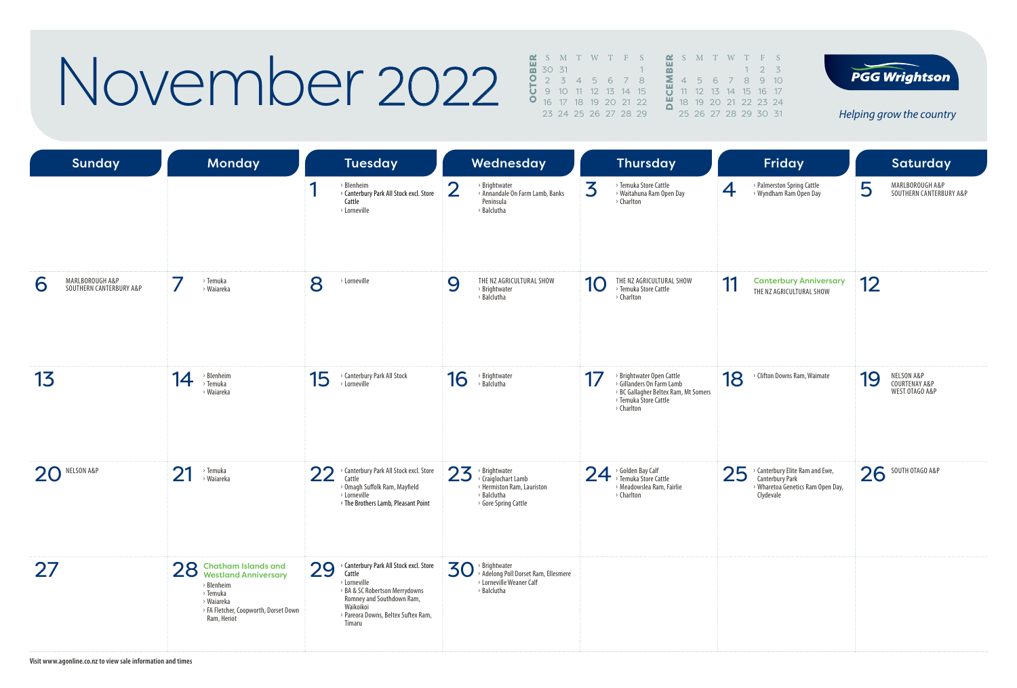### November 2022 and the second

| S M T W T F S        |  |  |  |  | <b>M</b> S M T W T F S |  |     |  |
|----------------------|--|--|--|--|------------------------|--|-----|--|
| 30 31                |  |  |  |  |                        |  | 123 |  |
| 2 3 4 5 6 7 8        |  |  |  |  | 245678910              |  |     |  |
| 9 10 11 12 13 14 15  |  |  |  |  | 11 12 13 14 15 16 17   |  |     |  |
| 16 17 18 19 20 21 22 |  |  |  |  | 18 19 20 21 22 23 24   |  |     |  |
| 23 24 25 26 27 28 29 |  |  |  |  | 25 26 27 28 29 30 31   |  |     |  |



*Helping grow the country*

| <b>Sunday</b>                                   | Monday                                                                                                                                         |    | <b>Tuesday</b>                                                                                                                                                                                 |          | Wednesday                                                                                                             |           | <b>Thursday</b>                                                                                                                       |    | <b>Friday</b>                                                                                               |    | <b>Saturday</b>                               |
|-------------------------------------------------|------------------------------------------------------------------------------------------------------------------------------------------------|----|------------------------------------------------------------------------------------------------------------------------------------------------------------------------------------------------|----------|-----------------------------------------------------------------------------------------------------------------------|-----------|---------------------------------------------------------------------------------------------------------------------------------------|----|-------------------------------------------------------------------------------------------------------------|----|-----------------------------------------------|
|                                                 |                                                                                                                                                |    | <b>Blenheim</b><br>> Canterbury Park All Stock excl. Store<br>Cattle<br>> Lorneville                                                                                                           | $\angle$ | > Brightwater<br>> Annandale On Farm Lamb, Banks<br>Peninsula<br>> Balclutha                                          | 3         | > Temuka Store Cattle<br>> Waitahuna Ram Open Day<br>> Charlton                                                                       | 4  | > Palmerston Spring Cattle<br>> Wyndham Ram Open Day                                                        | 5  | MARLBOROUGH A&P<br>SOUTHERN CANTERBURY A&P    |
| MARLBOROUGH A&P<br>6<br>SOUTHERN CANTERBURY A&P | 7<br>> Temuka<br>› Waiareka                                                                                                                    | 8  | > Lorneville                                                                                                                                                                                   | 9        | THE NZ AGRICULTURAL SHOW<br>> Brightwater<br>> Balclutha                                                              | <b>10</b> | THE NZ AGRICULTURAL SHOW<br>> Temuka Store Cattle<br>> Charlton                                                                       | 11 | <b>Canterbury Anniversary</b><br>THE NZ AGRICULTURAL SHOW                                                   | 12 |                                               |
| 13                                              | > Blenheim<br>14<br>> Temuka<br>› Waiareka                                                                                                     | 15 | > Canterbury Park All Stock<br>> Lorneville                                                                                                                                                    | 16       | > Brightwater<br>> Balclutha                                                                                          | 17        | > Brightwater Open Cattle<br>> Gillanders On Farm Lamb<br>> BC Gallagher Beltex Ram, Mt Somers<br>> Temuka Store Cattle<br>> Charlton | 18 | > Clifton Downs Ram, Waimate                                                                                | 19 | NELSON A&P<br>COURTENAY A&P<br>WEST OTAGO A&P |
| NELSON A&P<br>20                                | 21<br>> Temuka<br>> Waiareka                                                                                                                   | 22 | > Canterbury Park All Stock excl. Store<br>Cattle<br>> Omagh Suffolk Ram, Mayfield<br>> Lorneville<br>> The Brothers Lamb, Pleasant Point                                                      | 23       | $\rightarrow$ Brightwater<br>> Craiglochart Lamb<br>> Hermiston Ram, Lauriston<br>> Balclutha<br>> Gore Spring Cattle |           | 24 > Golden Bay Calf<br>> Meadowslea Ram, Fairlie<br>> Charlton                                                                       | 25 | > Canterbury Elite Ram and Ewe,<br><b>Canterbury Park</b><br>> Wharetoa Genetics Ram Open Day,<br>Clydevale | 26 | SOUTH OTAGO A&P                               |
| 27                                              | 28 Chatham Islands and<br>Westland Anniversary<br>> Blenheim<br>> Temuka<br>> Waiareka<br>> FA Fletcher, Coopworth, Dorset Down<br>Ram, Heriot | 29 | > Canterbury Park All Stock excl. Store<br>Cattle<br>> Lorneville<br>> BA & SC Robertson Merrydowns<br>Romney and Southdown Ram,<br>Waikoikoi<br>> Pareora Downs, Beltex Suftex Ram,<br>Timaru | 30       | > Brightwater<br>> Adelong Poll Dorset Ram, Ellesmere<br>> Lorneville Weaner Calf<br>> Balclutha                      |           |                                                                                                                                       |    |                                                                                                             |    |                                               |